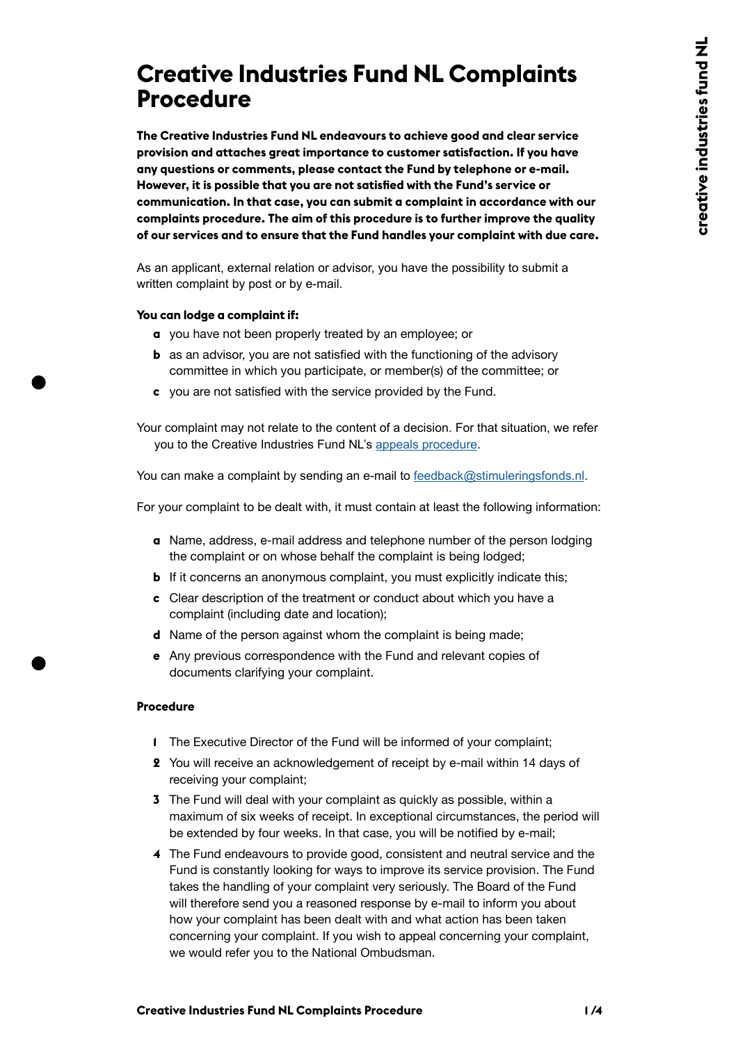# **Creative Industries Fund NL Complaints Procedure**

**The Creative Industries Fund NL endeavours to achieve good and clear service provision and attaches great importance to customer satisfaction. If you have any questions or comments, please contact the Fund by telephone or e-mail. However, it is possible that you are not satisfied with the Fund's service or communication. In that case, you can submit a complaint in accordance with our complaints procedure. The aim of this procedure is to further improve the quality of our services and to ensure that the Fund handles your complaint with due care.**

As an applicant, external relation or advisor, you have the possibility to submit a written complaint by post or by e-mail.

#### **You can lodge a complaint if:**

- **a** you have not been properly treated by an employee; or
- **b** as an advisor, you are not satisfied with the functioning of the advisory committee in which you participate, or member(s) of the committee; or
- **c** you are not satisfied with the service provided by the Fund.

Your complaint may not relate to the content of a decision. For that situation, we refer you to the Creative Industries Fund NL's [appeals procedure](https://stimuleringsfonds.nl/en/appeal_and_revised_applications/).

You can make a complaint by sending an e-mail to [feedback@stimuleringsfonds.nl.](mailto:feedback%40stimuleringsfonds.nl?subject=)

For your complaint to be dealt with, it must contain at least the following information:

- **a** Name, address, e-mail address and telephone number of the person lodging the complaint or on whose behalf the complaint is being lodged;
- **b** If it concerns an anonymous complaint, you must explicitly indicate this:
- **c** Clear description of the treatment or conduct about which you have a complaint (including date and location);
- **d** Name of the person against whom the complaint is being made;
- **e** Any previous correspondence with the Fund and relevant copies of documents clarifying your complaint.

#### **Procedure**

- **1** The Executive Director of the Fund will be informed of your complaint;
- **2** You will receive an acknowledgement of receipt by e-mail within 14 days of receiving your complaint;
- **3** The Fund will deal with your complaint as quickly as possible, within a maximum of six weeks of receipt. In exceptional circumstances, the period will be extended by four weeks. In that case, you will be notified by e-mail;
- **4** The Fund endeavours to provide good, consistent and neutral service and the Fund is constantly looking for ways to improve its service provision. The Fund takes the handling of your complaint very seriously. The Board of the Fund will therefore send you a reasoned response by e-mail to inform you about how your complaint has been dealt with and what action has been taken concerning your complaint. If you wish to appeal concerning your complaint, we would refer you to the National Ombudsman.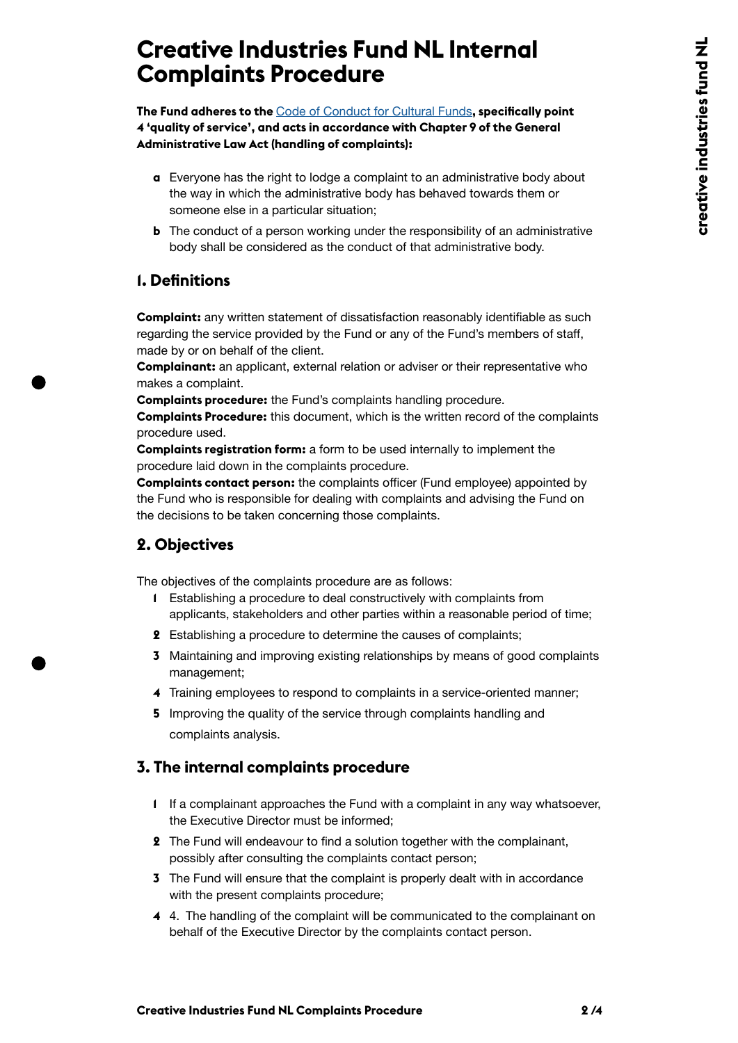# **Creative Industries Fund NL Internal Complaints Procedure**

**The Fund adheres to the** [Code of Conduct for Cultural Funds](https://content.stimuleringsfonds.nl/files/nvg/i_041/GedragscodeCultuurfondsen.pdf)**, specifically point 4 'quality of service', and acts in accordance with Chapter 9 of the General Administrative Law Act (handling of complaints):**

- **a** Everyone has the right to lodge a complaint to an administrative body about the way in which the administrative body has behaved towards them or someone else in a particular situation;
- **b** The conduct of a person working under the responsibility of an administrative body shall be considered as the conduct of that administrative body.

# **1. Definitions**

**Complaint:** any written statement of dissatisfaction reasonably identifiable as such regarding the service provided by the Fund or any of the Fund's members of staff, made by or on behalf of the client.

**Complainant:** an applicant, external relation or adviser or their representative who makes a complaint.

**Complaints procedure:** the Fund's complaints handling procedure.

**Complaints Procedure:** this document, which is the written record of the complaints procedure used.

**Complaints registration form:** a form to be used internally to implement the procedure laid down in the complaints procedure.

**Complaints contact person:** the complaints officer (Fund employee) appointed by the Fund who is responsible for dealing with complaints and advising the Fund on the decisions to be taken concerning those complaints.

# **2. Objectives**

The objectives of the complaints procedure are as follows:

- **1** Establishing a procedure to deal constructively with complaints from applicants, stakeholders and other parties within a reasonable period of time;
- **2** Establishing a procedure to determine the causes of complaints;
- **3** Maintaining and improving existing relationships by means of good complaints management;
- **4** Training employees to respond to complaints in a service-oriented manner;
- **5** Improving the quality of the service through complaints handling and complaints analysis.

### **3. The internal complaints procedure**

- **1** If a complainant approaches the Fund with a complaint in any way whatsoever, the Executive Director must be informed;
- **2** The Fund will endeavour to find a solution together with the complainant, possibly after consulting the complaints contact person;
- **3** The Fund will ensure that the complaint is properly dealt with in accordance with the present complaints procedure;
- **4** 4. The handling of the complaint will be communicated to the complainant on behalf of the Executive Director by the complaints contact person.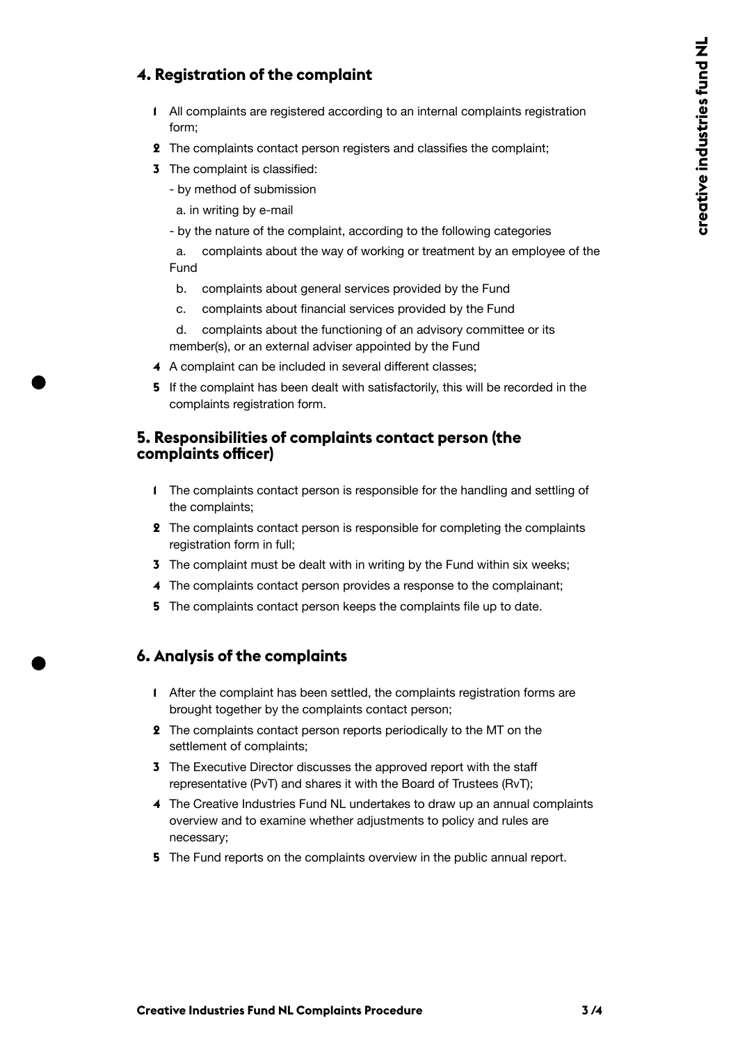## **4. Registration of the complaint**

- **1** All complaints are registered according to an internal complaints registration form;
- **2** The complaints contact person registers and classifies the complaint;
- **3** The complaint is classified:
	- by method of submission
	- a. in writing by e-mail
	- by the nature of the complaint, according to the following categories

 a. complaints about the way of working or treatment by an employee of the Fund

- b. complaints about general services provided by the Fund
- c. complaints about financial services provided by the Fund

 d. complaints about the functioning of an advisory committee or its member(s), or an external adviser appointed by the Fund

- **4** A complaint can be included in several different classes;
- **5** If the complaint has been dealt with satisfactorily, this will be recorded in the complaints registration form.

#### **5. Responsibilities of complaints contact person (the complaints officer)**

- **1** The complaints contact person is responsible for the handling and settling of the complaints;
- **2** The complaints contact person is responsible for completing the complaints registration form in full;
- **3** The complaint must be dealt with in writing by the Fund within six weeks;
- **4** The complaints contact person provides a response to the complainant;
- **5** The complaints contact person keeps the complaints file up to date.

### **6. Analysis of the complaints**

- **1** After the complaint has been settled, the complaints registration forms are brought together by the complaints contact person;
- **2** The complaints contact person reports periodically to the MT on the settlement of complaints;
- **3** The Executive Director discusses the approved report with the staff representative (PvT) and shares it with the Board of Trustees (RvT);
- **4** The Creative Industries Fund NL undertakes to draw up an annual complaints overview and to examine whether adjustments to policy and rules are necessary;
- **5** The Fund reports on the complaints overview in the public annual report.